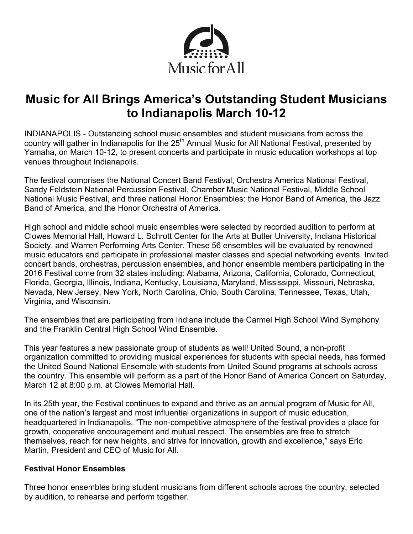

# **Music for All Brings America's Outstanding Student Musicians to Indianapolis March 10-12**

INDIANAPOLIS - Outstanding school music ensembles and student musicians from across the country will gather in Indianapolis for the 25<sup>th</sup> Annual Music for All National Festival, presented by Yamaha, on March 10-12, to present concerts and participate in music education workshops at top venues throughout Indianapolis.

The festival comprises the National Concert Band Festival, Orchestra America National Festival, Sandy Feldstein National Percussion Festival, Chamber Music National Festival, Middle School National Music Festival, and three national Honor Ensembles: the Honor Band of America, the Jazz Band of America, and the Honor Orchestra of America.

High school and middle school music ensembles were selected by recorded audition to perform at Clowes Memorial Hall, Howard L. Schrott Center for the Arts at Butler University, Indiana Historical Society, and Warren Performing Arts Center. These 56 ensembles will be evaluated by renowned music educators and participate in professional master classes and special networking events. Invited concert bands, orchestras, percussion ensembles, and honor ensemble members participating in the 2016 Festival come from 32 states including: Alabama, Arizona, California, Colorado, Connecticut, Florida, Georgia, Illinois, Indiana, Kentucky, Louisiana, Maryland, Mississippi, Missouri, Nebraska, Nevada, New Jersey, New York, North Carolina, Ohio, South Carolina, Tennessee, Texas, Utah, Virginia, and Wisconsin.

The ensembles that are participating from Indiana include the Carmel High School Wind Symphony and the Franklin Central High School Wind Ensemble.

This year features a new passionate group of students as well! United Sound, a non-profit organization committed to providing musical experiences for students with special needs, has formed the United Sound National Ensemble with students from United Sound programs at schools across the country. This ensemble will perform as a part of the Honor Band of America Concert on Saturday, March 12 at 8:00 p.m. at Clowes Memorial Hall.

In its 25th year, the Festival continues to expand and thrive as an annual program of Music for All, one of the nation's largest and most influential organizations in support of music education, headquartered in Indianapolis. "The non-competitive atmosphere of the festival provides a place for growth, cooperative encouragement and mutual respect. The ensembles are free to stretch themselves, reach for new heights, and strive for innovation, growth and excellence," says Eric Martin, President and CEO of Music for All.

## **Festival Honor Ensembles**

Three honor ensembles bring student musicians from different schools across the country, selected by audition, to rehearse and perform together.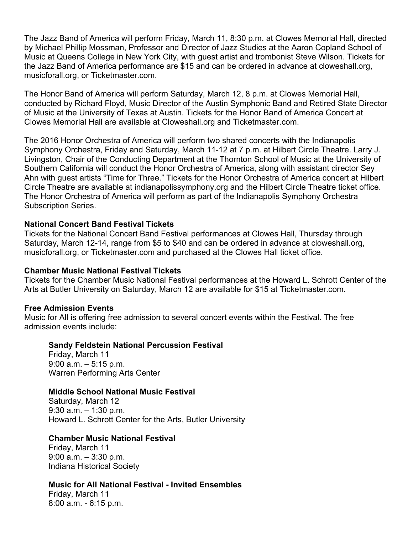The Jazz Band of America will perform Friday, March 11, 8:30 p.m. at Clowes Memorial Hall, directed by Michael Phillip Mossman, Professor and Director of Jazz Studies at the Aaron Copland School of Music at Queens College in New York City, with guest artist and trombonist Steve Wilson. Tickets for the Jazz Band of America performance are \$15 and can be ordered in advance at cloweshall.org, musicforall.org, or Ticketmaster.com.

The Honor Band of America will perform Saturday, March 12, 8 p.m. at Clowes Memorial Hall, conducted by Richard Floyd, Music Director of the Austin Symphonic Band and Retired State Director of Music at the University of Texas at Austin. Tickets for the Honor Band of America Concert at Clowes Memorial Hall are available at Cloweshall.org and Ticketmaster.com.

The 2016 Honor Orchestra of America will perform two shared concerts with the Indianapolis Symphony Orchestra, Friday and Saturday, March 11-12 at 7 p.m. at Hilbert Circle Theatre. Larry J. Livingston, Chair of the Conducting Department at the Thornton School of Music at the University of Southern California will conduct the Honor Orchestra of America, along with assistant director Sey Ahn with guest artists "Time for Three." Tickets for the Honor Orchestra of America concert at Hilbert Circle Theatre are available at indianapolissymphony.org and the Hilbert Circle Theatre ticket office. The Honor Orchestra of America will perform as part of the Indianapolis Symphony Orchestra Subscription Series.

#### **National Concert Band Festival Tickets**

Tickets for the National Concert Band Festival performances at Clowes Hall, Thursday through Saturday, March 12-14, range from \$5 to \$40 and can be ordered in advance at cloweshall.org, musicforall.org, or Ticketmaster.com and purchased at the Clowes Hall ticket office.

#### **Chamber Music National Festival Tickets**

Tickets for the Chamber Music National Festival performances at the Howard L. Schrott Center of the Arts at Butler University on Saturday, March 12 are available for \$15 at Ticketmaster.com.

#### **Free Admission Events**

Music for All is offering free admission to several concert events within the Festival. The free admission events include:

#### **Sandy Feldstein National Percussion Festival**

Friday, March 11 9:00 a.m. – 5:15 p.m. Warren Performing Arts Center

#### **Middle School National Music Festival**

Saturday, March 12 9:30 a.m. – 1:30 p.m. Howard L. Schrott Center for the Arts, Butler University

#### **Chamber Music National Festival**

Friday, March 11 9:00 a.m. – 3:30 p.m. Indiana Historical Society

## **Music for All National Festival - Invited Ensembles**

Friday, March 11 8:00 a.m. - 6:15 p.m.